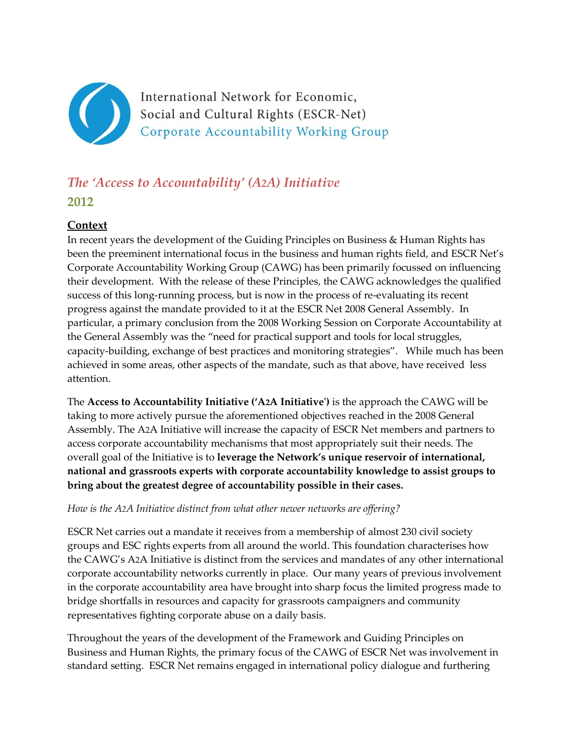

International Network for Economic, Social and Cultural Rights (ESCR-Net) Corporate Accountability Working Group

# *The 'Access to Accountability' (A2A) Initiative* **2012**

## **Context**

In recent years the development of the Guiding Principles on Business & Human Rights has been the preeminent international focus in the business and human rights field, and ESCR Net's Corporate Accountability Working Group (CAWG) has been primarily focussed on influencing their development. With the release of these Principles, the CAWG acknowledges the qualified success of this long-running process, but is now in the process of re-evaluating its recent progress against the mandate provided to it at the ESCR Net 2008 General Assembly. In particular, a primary conclusion from the 2008 Working Session on Corporate Accountability at the General Assembly was the "need for practical support and tools for local struggles, capacity-building, exchange of best practices and monitoring strategies". While much has been achieved in some areas, other aspects of the mandate, such as that above, have received less attention.

The **Access to Accountability Initiative ('A2A Initiative')** is the approach the CAWG will be taking to more actively pursue the aforementioned objectives reached in the 2008 General Assembly. The A2A Initiative will increase the capacity of ESCR Net members and partners to access corporate accountability mechanisms that most appropriately suit their needs. The overall goal of the Initiative is to **leverage the Network's unique reservoir of international, national and grassroots experts with corporate accountability knowledge to assist groups to bring about the greatest degree of accountability possible in their cases.**

#### *How is the A2A Initiative distinct from what other newer networks are offering?*

ESCR Net carries out a mandate it receives from a membership of almost 230 civil society groups and ESC rights experts from all around the world. This foundation characterises how the CAWG's A2A Initiative is distinct from the services and mandates of any other international corporate accountability networks currently in place. Our many years of previous involvement in the corporate accountability area have brought into sharp focus the limited progress made to bridge shortfalls in resources and capacity for grassroots campaigners and community representatives fighting corporate abuse on a daily basis.

Throughout the years of the development of the Framework and Guiding Principles on Business and Human Rights, the primary focus of the CAWG of ESCR Net was involvement in standard setting. ESCR Net remains engaged in international policy dialogue and furthering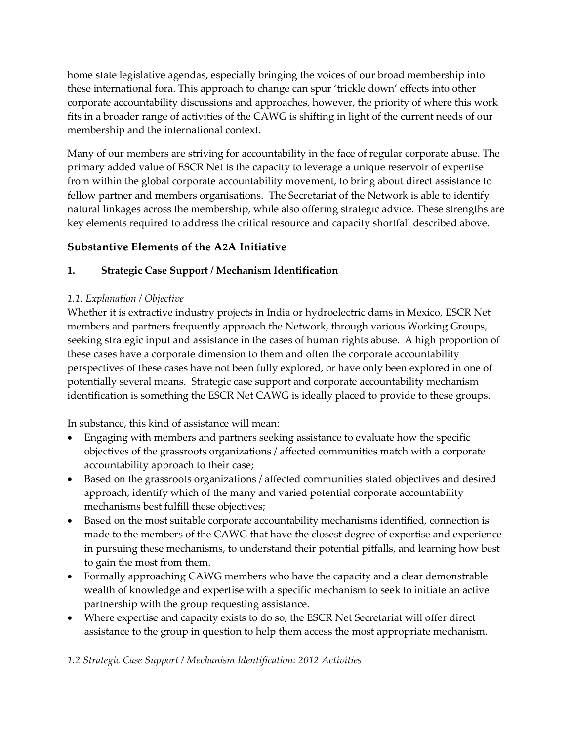home state legislative agendas, especially bringing the voices of our broad membership into these international fora. This approach to change can spur 'trickle down' effects into other corporate accountability discussions and approaches, however, the priority of where this work fits in a broader range of activities of the CAWG is shifting in light of the current needs of our membership and the international context.

Many of our members are striving for accountability in the face of regular corporate abuse. The primary added value of ESCR Net is the capacity to leverage a unique reservoir of expertise from within the global corporate accountability movement, to bring about direct assistance to fellow partner and members organisations. The Secretariat of the Network is able to identify natural linkages across the membership, while also offering strategic advice. These strengths are key elements required to address the critical resource and capacity shortfall described above.

## **Substantive Elements of the A2A Initiative**

## **1. Strategic Case Support / Mechanism Identification**

## *1.1. Explanation / Objective*

Whether it is extractive industry projects in India or hydroelectric dams in Mexico, ESCR Net members and partners frequently approach the Network, through various Working Groups, seeking strategic input and assistance in the cases of human rights abuse. A high proportion of these cases have a corporate dimension to them and often the corporate accountability perspectives of these cases have not been fully explored, or have only been explored in one of potentially several means. Strategic case support and corporate accountability mechanism identification is something the ESCR Net CAWG is ideally placed to provide to these groups.

In substance, this kind of assistance will mean:

- Engaging with members and partners seeking assistance to evaluate how the specific objectives of the grassroots organizations / affected communities match with a corporate accountability approach to their case;
- Based on the grassroots organizations / affected communities stated objectives and desired approach, identify which of the many and varied potential corporate accountability mechanisms best fulfill these objectives;
- Based on the most suitable corporate accountability mechanisms identified, connection is made to the members of the CAWG that have the closest degree of expertise and experience in pursuing these mechanisms, to understand their potential pitfalls, and learning how best to gain the most from them.
- Formally approaching CAWG members who have the capacity and a clear demonstrable wealth of knowledge and expertise with a specific mechanism to seek to initiate an active partnership with the group requesting assistance.
- Where expertise and capacity exists to do so, the ESCR Net Secretariat will offer direct assistance to the group in question to help them access the most appropriate mechanism.

*1.2 Strategic Case Support / Mechanism Identification: 2012 Activities*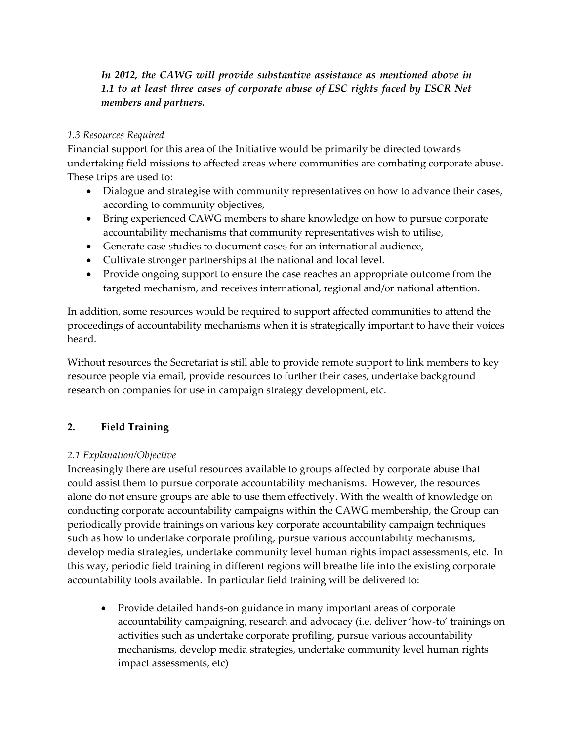## *In 2012, the CAWG will provide substantive assistance as mentioned above in*  1.1 to at least three cases of corporate abuse of ESC rights faced by ESCR Net *members and partners.*

#### *1.3 Resources Required*

Financial support for this area of the Initiative would be primarily be directed towards undertaking field missions to affected areas where communities are combating corporate abuse. These trips are used to:

- Dialogue and strategise with community representatives on how to advance their cases, according to community objectives,
- Bring experienced CAWG members to share knowledge on how to pursue corporate accountability mechanisms that community representatives wish to utilise,
- Generate case studies to document cases for an international audience,
- Cultivate stronger partnerships at the national and local level.
- Provide ongoing support to ensure the case reaches an appropriate outcome from the targeted mechanism, and receives international, regional and/or national attention.

In addition, some resources would be required to support affected communities to attend the proceedings of accountability mechanisms when it is strategically important to have their voices heard.

Without resources the Secretariat is still able to provide remote support to link members to key resource people via email, provide resources to further their cases, undertake background research on companies for use in campaign strategy development, etc.

## **2. Field Training**

## *2.1 Explanation/Objective*

Increasingly there are useful resources available to groups affected by corporate abuse that could assist them to pursue corporate accountability mechanisms. However, the resources alone do not ensure groups are able to use them effectively. With the wealth of knowledge on conducting corporate accountability campaigns within the CAWG membership, the Group can periodically provide trainings on various key corporate accountability campaign techniques such as how to undertake corporate profiling, pursue various accountability mechanisms, develop media strategies, undertake community level human rights impact assessments, etc. In this way, periodic field training in different regions will breathe life into the existing corporate accountability tools available. In particular field training will be delivered to:

 Provide detailed hands-on guidance in many important areas of corporate accountability campaigning, research and advocacy (i.e. deliver 'how-to' trainings on activities such as undertake corporate profiling, pursue various accountability mechanisms, develop media strategies, undertake community level human rights impact assessments, etc)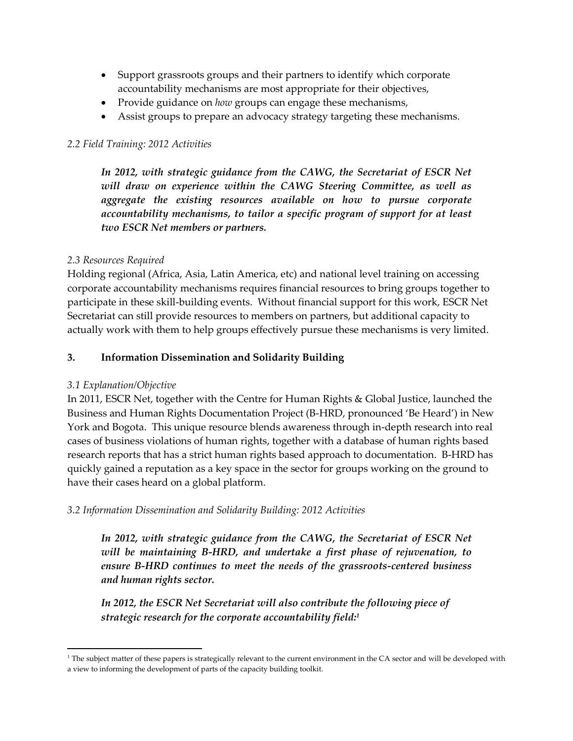- Support grassroots groups and their partners to identify which corporate accountability mechanisms are most appropriate for their objectives,
- Provide guidance on *how* groups can engage these mechanisms,
- Assist groups to prepare an advocacy strategy targeting these mechanisms.

#### *2.2 Field Training: 2012 Activities*

*In 2012, with strategic guidance from the CAWG, the Secretariat of ESCR Net will draw on experience within the CAWG Steering Committee, as well as aggregate the existing resources available on how to pursue corporate accountability mechanisms, to tailor a specific program of support for at least two ESCR Net members or partners.* 

#### *2.3 Resources Required*

Holding regional (Africa, Asia, Latin America, etc) and national level training on accessing corporate accountability mechanisms requires financial resources to bring groups together to participate in these skill-building events. Without financial support for this work, ESCR Net Secretariat can still provide resources to members on partners, but additional capacity to actually work with them to help groups effectively pursue these mechanisms is very limited.

#### **3. Information Dissemination and Solidarity Building**

#### *3.1 Explanation/Objective*

 $\overline{\phantom{a}}$ 

In 2011, ESCR Net, together with the Centre for Human Rights & Global Justice, launched the Business and Human Rights Documentation Project (B-HRD, pronounced 'Be Heard') in New York and Bogota. This unique resource blends awareness through in-depth research into real cases of business violations of human rights, together with a database of human rights based research reports that has a strict human rights based approach to documentation. B-HRD has quickly gained a reputation as a key space in the sector for groups working on the ground to have their cases heard on a global platform.

#### *3.2 Information Dissemination and Solidarity Building: 2012 Activities*

*In 2012, with strategic guidance from the CAWG, the Secretariat of ESCR Net will be maintaining B-HRD, and undertake a first phase of rejuvenation, to ensure B-HRD continues to meet the needs of the grassroots-centered business and human rights sector.*

*In 2012, the ESCR Net Secretariat will also contribute the following piece of strategic research for the corporate accountability field: 1*

 $1$ <sup>1</sup> The subject matter of these papers is strategically relevant to the current environment in the CA sector and will be developed with a view to informing the development of parts of the capacity building toolkit.